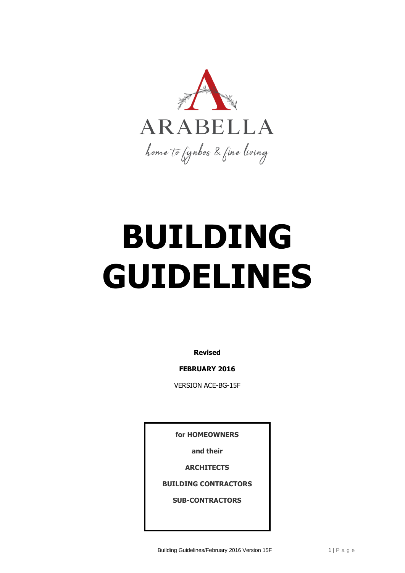

# **BUILDING GUIDELINES**

**Revised** 

**FEBRUARY 2016**

VERSION ACE-BG-15F

**for HOMEOWNERS**

**and their**

**ARCHITECTS**

**BUILDING CONTRACTORS**

**SUB-CONTRACTORS**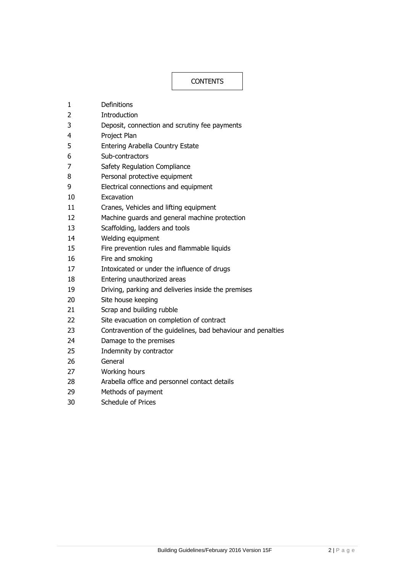# **CONTENTS**

- Definitions
- Introduction
- Deposit, connection and scrutiny fee payments
- Project Plan
- Entering Arabella Country Estate
- Sub-contractors
- Safety Regulation Compliance
- Personal protective equipment
- Electrical connections and equipment
- Excavation
- Cranes, Vehicles and lifting equipment
- Machine guards and general machine protection
- Scaffolding, ladders and tools
- Welding equipment
- Fire prevention rules and flammable liquids
- Fire and smoking
- Intoxicated or under the influence of drugs
- Entering unauthorized areas
- Driving, parking and deliveries inside the premises
- Site house keeping
- Scrap and building rubble
- Site evacuation on completion of contract
- Contravention of the guidelines, bad behaviour and penalties
- Damage to the premises
- Indemnity by contractor
- General
- Working hours
- Arabella office and personnel contact details
- Methods of payment
- Schedule of Prices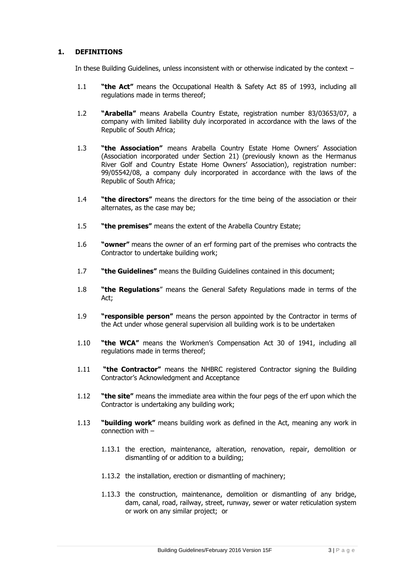# **1. DEFINITIONS**

In these Building Guidelines, unless inconsistent with or otherwise indicated by the context –

- 1.1 **"the Act"** means the Occupational Health & Safety Act 85 of 1993, including all regulations made in terms thereof;
- 1.2 **"Arabella"** means Arabella Country Estate, registration number 83/03653/07, a company with limited liability duly incorporated in accordance with the laws of the Republic of South Africa;
- 1.3 **"the Association"** means Arabella Country Estate Home Owners' Association (Association incorporated under Section 21) (previously known as the Hermanus River Golf and Country Estate Home Owners' Association), registration number: 99/05542/08, a company duly incorporated in accordance with the laws of the Republic of South Africa;
- 1.4 **"the directors"** means the directors for the time being of the association or their alternates, as the case may be;
- 1.5 **"the premises"** means the extent of the Arabella Country Estate;
- 1.6 **"owner"** means the owner of an erf forming part of the premises who contracts the Contractor to undertake building work;
- 1.7 **"the Guidelines"** means the Building Guidelines contained in this document;
- 1.8 **"the Regulations**" means the General Safety Regulations made in terms of the Act;
- 1.9 **"responsible person"** means the person appointed by the Contractor in terms of the Act under whose general supervision all building work is to be undertaken
- 1.10 **"the WCA"** means the Workmen's Compensation Act 30 of 1941, including all regulations made in terms thereof;
- 1.11 **"the Contractor"** means the NHBRC registered Contractor signing the Building Contractor's Acknowledgment and Acceptance
- 1.12 **"the site"** means the immediate area within the four pegs of the erf upon which the Contractor is undertaking any building work;
- 1.13 **"building work"** means building work as defined in the Act, meaning any work in connection with –
	- 1.13.1 the erection, maintenance, alteration, renovation, repair, demolition or dismantling of or addition to a building;
	- 1.13.2 the installation, erection or dismantling of machinery;
	- 1.13.3 the construction, maintenance, demolition or dismantling of any bridge, dam, canal, road, railway, street, runway, sewer or water reticulation system or work on any similar project; or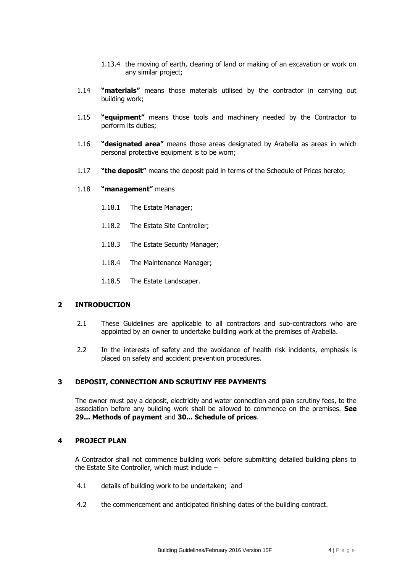- 1.13.4 the moving of earth, clearing of land or making of an excavation or work on any similar project;
- 1.14 **"materials"** means those materials utilised by the contractor in carrying out building work;
- 1.15 **"equipment"** means those tools and machinery needed by the Contractor to perform its duties;
- 1.16 **"designated area"** means those areas designated by Arabella as areas in which personal protective equipment is to be worn;
- 1.17 **"the deposit"** means the deposit paid in terms of the Schedule of Prices hereto;
- 1.18 **"management"** means
	- 1.18.1 The Estate Manager;
	- 1.18.2 The Estate Site Controller;
	- 1.18.3 The Estate Security Manager;
	- 1.18.4 The Maintenance Manager;
	- 1.18.5 The Estate Landscaper.

# **2 INTRODUCTION**

- 2.1 These Guidelines are applicable to all contractors and sub-contractors who are appointed by an owner to undertake building work at the premises of Arabella.
- 2.2 In the interests of safety and the avoidance of health risk incidents, emphasis is placed on safety and accident prevention procedures.

#### **3 DEPOSIT, CONNECTION AND SCRUTINY FEE PAYMENTS**

The owner must pay a deposit, electricity and water connection and plan scrutiny fees, to the association before any building work shall be allowed to commence on the premises. **See 29... Methods of payment** and **30... Schedule of prices**.

#### **4 PROJECT PLAN**

A Contractor shall not commence building work before submitting detailed building plans to the Estate Site Controller, which must include –

- 4.1 details of building work to be undertaken; and
- 4.2 the commencement and anticipated finishing dates of the building contract.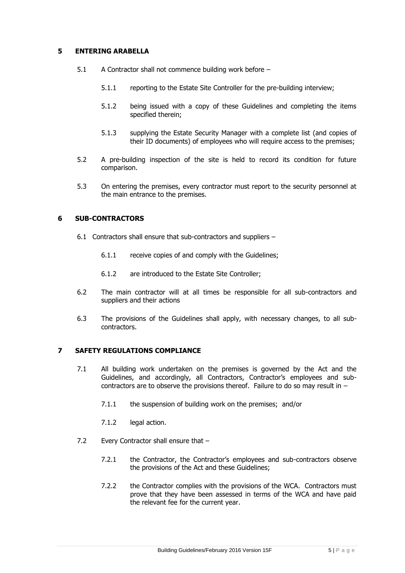# **5 ENTERING ARABELLA**

- 5.1 A Contractor shall not commence building work before
	- 5.1.1 reporting to the Estate Site Controller for the pre-building interview;
	- 5.1.2 being issued with a copy of these Guidelines and completing the items specified therein;
	- 5.1.3 supplying the Estate Security Manager with a complete list (and copies of their ID documents) of employees who will require access to the premises;
- 5.2 A pre-building inspection of the site is held to record its condition for future comparison.
- 5.3 On entering the premises, every contractor must report to the security personnel at the main entrance to the premises.

#### **6 SUB-CONTRACTORS**

- 6.1 Contractors shall ensure that sub-contractors and suppliers
	- 6.1.1 receive copies of and comply with the Guidelines;
	- 6.1.2 are introduced to the Estate Site Controller;
- 6.2 The main contractor will at all times be responsible for all sub-contractors and suppliers and their actions
- 6.3 The provisions of the Guidelines shall apply, with necessary changes, to all subcontractors.

#### **7 SAFETY REGULATIONS COMPLIANCE**

- 7.1 All building work undertaken on the premises is governed by the Act and the Guidelines, and accordingly, all Contractors, Contractor's employees and subcontractors are to observe the provisions thereof. Failure to do so may result in  $-$ 
	- 7.1.1 the suspension of building work on the premises; and/or
	- 7.1.2 legal action.
- 7.2 Every Contractor shall ensure that -
	- 7.2.1 the Contractor, the Contractor's employees and sub-contractors observe the provisions of the Act and these Guidelines;
	- 7.2.2 the Contractor complies with the provisions of the WCA. Contractors must prove that they have been assessed in terms of the WCA and have paid the relevant fee for the current year.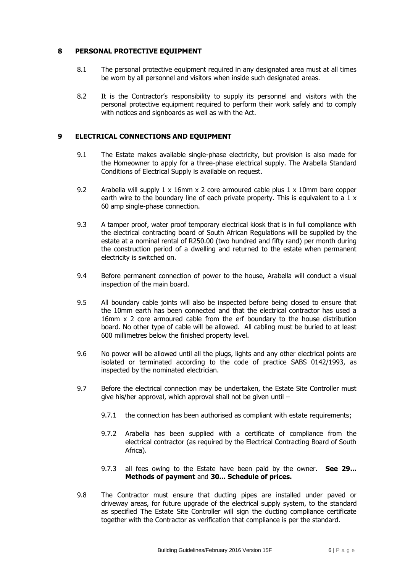# **8 PERSONAL PROTECTIVE EQUIPMENT**

- 8.1 The personal protective equipment required in any designated area must at all times be worn by all personnel and visitors when inside such designated areas.
- 8.2 It is the Contractor's responsibility to supply its personnel and visitors with the personal protective equipment required to perform their work safely and to comply with notices and signboards as well as with the Act.

# **9 ELECTRICAL CONNECTIONS AND EQUIPMENT**

- 9.1 The Estate makes available single-phase electricity, but provision is also made for the Homeowner to apply for a three-phase electrical supply. The Arabella Standard Conditions of Electrical Supply is available on request.
- 9.2 Arabella will supply 1 x 16mm x 2 core armoured cable plus 1 x 10mm bare copper earth wire to the boundary line of each private property. This is equivalent to a  $1 \times$ 60 amp single-phase connection.
- 9.3 A tamper proof, water proof temporary electrical kiosk that is in full compliance with the electrical contracting board of South African Regulations will be supplied by the estate at a nominal rental of R250.00 (two hundred and fifty rand) per month during the construction period of a dwelling and returned to the estate when permanent electricity is switched on.
- 9.4 Before permanent connection of power to the house, Arabella will conduct a visual inspection of the main board.
- 9.5 All boundary cable joints will also be inspected before being closed to ensure that the 10mm earth has been connected and that the electrical contractor has used a 16mm x 2 core armoured cable from the erf boundary to the house distribution board. No other type of cable will be allowed. All cabling must be buried to at least 600 millimetres below the finished property level.
- 9.6 No power will be allowed until all the plugs, lights and any other electrical points are isolated or terminated according to the code of practice SABS 0142/1993, as inspected by the nominated electrician.
- 9.7 Before the electrical connection may be undertaken, the Estate Site Controller must give his/her approval, which approval shall not be given until –
	- 9.7.1 the connection has been authorised as compliant with estate requirements;
	- 9.7.2 Arabella has been supplied with a certificate of compliance from the electrical contractor (as required by the Electrical Contracting Board of South Africa).
	- 9.7.3 all fees owing to the Estate have been paid by the owner. **See 29... Methods of payment** and **30... Schedule of prices.**
- 9.8 The Contractor must ensure that ducting pipes are installed under paved or driveway areas, for future upgrade of the electrical supply system, to the standard as specified The Estate Site Controller will sign the ducting compliance certificate together with the Contractor as verification that compliance is per the standard.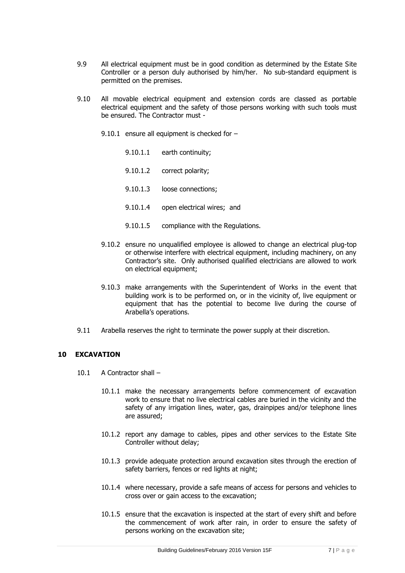- 9.9 All electrical equipment must be in good condition as determined by the Estate Site Controller or a person duly authorised by him/her. No sub-standard equipment is permitted on the premises.
- 9.10 All movable electrical equipment and extension cords are classed as portable electrical equipment and the safety of those persons working with such tools must be ensured. The Contractor must -
	- 9.10.1 ensure all equipment is checked for  $-$ 
		- 9.10.1.1 earth continuity;
		- 9.10.1.2 correct polarity;
		- 9.10.1.3 loose connections;
		- 9.10.1.4 open electrical wires; and
		- 9.10.1.5 compliance with the Regulations.
	- 9.10.2 ensure no unqualified employee is allowed to change an electrical plug-top or otherwise interfere with electrical equipment, including machinery, on any Contractor's site. Only authorised qualified electricians are allowed to work on electrical equipment;
	- 9.10.3 make arrangements with the Superintendent of Works in the event that building work is to be performed on, or in the vicinity of, live equipment or equipment that has the potential to become live during the course of Arabella's operations.
- 9.11 Arabella reserves the right to terminate the power supply at their discretion.

# **10 EXCAVATION**

- 10.1 A Contractor shall
	- 10.1.1 make the necessary arrangements before commencement of excavation work to ensure that no live electrical cables are buried in the vicinity and the safety of any irrigation lines, water, gas, drainpipes and/or telephone lines are assured;
	- 10.1.2 report any damage to cables, pipes and other services to the Estate Site Controller without delay;
	- 10.1.3 provide adequate protection around excavation sites through the erection of safety barriers, fences or red lights at night;
	- 10.1.4 where necessary, provide a safe means of access for persons and vehicles to cross over or gain access to the excavation;
	- 10.1.5 ensure that the excavation is inspected at the start of every shift and before the commencement of work after rain, in order to ensure the safety of persons working on the excavation site;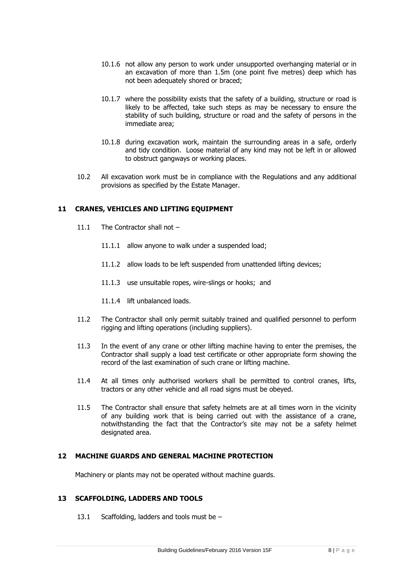- 10.1.6 not allow any person to work under unsupported overhanging material or in an excavation of more than 1.5m (one point five metres) deep which has not been adequately shored or braced;
- 10.1.7 where the possibility exists that the safety of a building, structure or road is likely to be affected, take such steps as may be necessary to ensure the stability of such building, structure or road and the safety of persons in the immediate area;
- 10.1.8 during excavation work, maintain the surrounding areas in a safe, orderly and tidy condition. Loose material of any kind may not be left in or allowed to obstruct gangways or working places.
- 10.2 All excavation work must be in compliance with the Regulations and any additional provisions as specified by the Estate Manager.

# **11 CRANES, VEHICLES AND LIFTING EQUIPMENT**

- 11.1 The Contractor shall not -
	- 11.1.1 allow anyone to walk under a suspended load;
	- 11.1.2 allow loads to be left suspended from unattended lifting devices;
	- 11.1.3 use unsuitable ropes, wire-slings or hooks; and
	- 11.1.4 lift unbalanced loads.
- 11.2 The Contractor shall only permit suitably trained and qualified personnel to perform rigging and lifting operations (including suppliers).
- 11.3 In the event of any crane or other lifting machine having to enter the premises, the Contractor shall supply a load test certificate or other appropriate form showing the record of the last examination of such crane or lifting machine.
- 11.4 At all times only authorised workers shall be permitted to control cranes, lifts, tractors or any other vehicle and all road signs must be obeyed.
- 11.5 The Contractor shall ensure that safety helmets are at all times worn in the vicinity of any building work that is being carried out with the assistance of a crane, notwithstanding the fact that the Contractor's site may not be a safety helmet designated area.

#### **12 MACHINE GUARDS AND GENERAL MACHINE PROTECTION**

Machinery or plants may not be operated without machine guards.

# **13 SCAFFOLDING, LADDERS AND TOOLS**

13.1 Scaffolding, ladders and tools must be -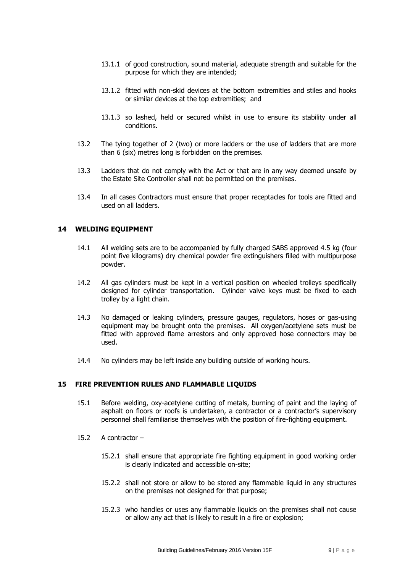- 13.1.1 of good construction, sound material, adequate strength and suitable for the purpose for which they are intended;
- 13.1.2 fitted with non-skid devices at the bottom extremities and stiles and hooks or similar devices at the top extremities; and
- 13.1.3 so lashed, held or secured whilst in use to ensure its stability under all conditions.
- 13.2 The tying together of 2 (two) or more ladders or the use of ladders that are more than 6 (six) metres long is forbidden on the premises.
- 13.3 Ladders that do not comply with the Act or that are in any way deemed unsafe by the Estate Site Controller shall not be permitted on the premises.
- 13.4 In all cases Contractors must ensure that proper receptacles for tools are fitted and used on all ladders.

#### **14 WELDING EQUIPMENT**

- 14.1 All welding sets are to be accompanied by fully charged SABS approved 4.5 kg (four point five kilograms) dry chemical powder fire extinguishers filled with multipurpose powder.
- 14.2 All gas cylinders must be kept in a vertical position on wheeled trolleys specifically designed for cylinder transportation. Cylinder valve keys must be fixed to each trolley by a light chain.
- 14.3 No damaged or leaking cylinders, pressure gauges, regulators, hoses or gas-using equipment may be brought onto the premises. All oxygen/acetylene sets must be fitted with approved flame arrestors and only approved hose connectors may be used.
- 14.4 No cylinders may be left inside any building outside of working hours.

#### **15 FIRE PREVENTION RULES AND FLAMMABLE LIQUIDS**

- 15.1 Before welding, oxy-acetylene cutting of metals, burning of paint and the laying of asphalt on floors or roofs is undertaken, a contractor or a contractor's supervisory personnel shall familiarise themselves with the position of fire-fighting equipment.
- 15.2 A contractor
	- 15.2.1 shall ensure that appropriate fire fighting equipment in good working order is clearly indicated and accessible on-site;
	- 15.2.2 shall not store or allow to be stored any flammable liquid in any structures on the premises not designed for that purpose;
	- 15.2.3 who handles or uses any flammable liquids on the premises shall not cause or allow any act that is likely to result in a fire or explosion;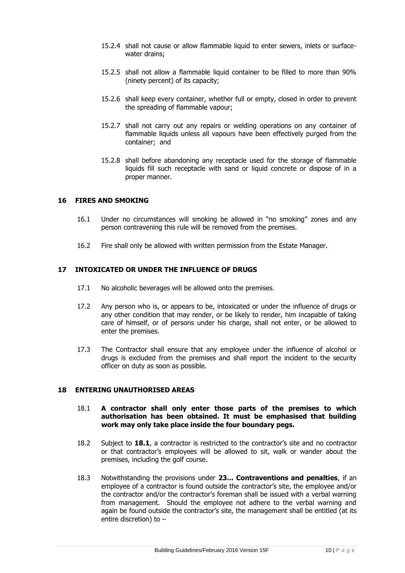- 15.2.4 shall not cause or allow flammable liquid to enter sewers, inlets or surfacewater drains;
- 15.2.5 shall not allow a flammable liquid container to be filled to more than 90% (ninety percent) of its capacity;
- 15.2.6 shall keep every container, whether full or empty, closed in order to prevent the spreading of flammable vapour;
- 15.2.7 shall not carry out any repairs or welding operations on any container of flammable liquids unless all vapours have been effectively purged from the container; and
- 15.2.8 shall before abandoning any receptacle used for the storage of flammable liquids fill such receptacle with sand or liquid concrete or dispose of in a proper manner.

# **16 FIRES AND SMOKING**

- 16.1 Under no circumstances will smoking be allowed in "no smoking" zones and any person contravening this rule will be removed from the premises.
- 16.2 Fire shall only be allowed with written permission from the Estate Manager.

#### **17 INTOXICATED OR UNDER THE INFLUENCE OF DRUGS**

- 17.1 No alcoholic beverages will be allowed onto the premises.
- 17.2 Any person who is, or appears to be, intoxicated or under the influence of drugs or any other condition that may render, or be likely to render, him incapable of taking care of himself, or of persons under his charge, shall not enter, or be allowed to enter the premises.
- 17.3 The Contractor shall ensure that any employee under the influence of alcohol or drugs is excluded from the premises and shall report the incident to the security officer on duty as soon as possible.

#### **18 ENTERING UNAUTHORISED AREAS**

#### 18.1 **A contractor shall only enter those parts of the premises to which authorisation has been obtained. It must be emphasised that building work may only take place inside the four boundary pegs.**

- 18.2 Subject to **18.1**, a contractor is restricted to the contractor's site and no contractor or that contractor's employees will be allowed to sit, walk or wander about the premises, including the golf course.
- 18.3 Notwithstanding the provisions under **23... Contraventions and penalties**, if an employee of a contractor is found outside the contractor's site, the employee and/or the contractor and/or the contractor's foreman shall be issued with a verbal warning from management. Should the employee not adhere to the verbal warning and again be found outside the contractor's site, the management shall be entitled (at its entire discretion) to –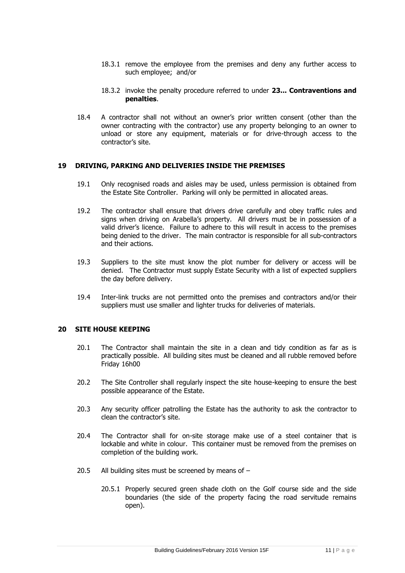- 18.3.1 remove the employee from the premises and deny any further access to such employee; and/or
- 18.3.2 invoke the penalty procedure referred to under **23... Contraventions and penalties**.
- 18.4 A contractor shall not without an owner's prior written consent (other than the owner contracting with the contractor) use any property belonging to an owner to unload or store any equipment, materials or for drive-through access to the contractor's site.

#### **19 DRIVING, PARKING AND DELIVERIES INSIDE THE PREMISES**

- 19.1 Only recognised roads and aisles may be used, unless permission is obtained from the Estate Site Controller. Parking will only be permitted in allocated areas.
- 19.2 The contractor shall ensure that drivers drive carefully and obey traffic rules and signs when driving on Arabella's property. All drivers must be in possession of a valid driver's licence. Failure to adhere to this will result in access to the premises being denied to the driver. The main contractor is responsible for all sub-contractors and their actions.
- 19.3 Suppliers to the site must know the plot number for delivery or access will be denied. The Contractor must supply Estate Security with a list of expected suppliers the day before delivery.
- 19.4 Inter-link trucks are not permitted onto the premises and contractors and/or their suppliers must use smaller and lighter trucks for deliveries of materials.

#### **20 SITE HOUSE KEEPING**

- 20.1 The Contractor shall maintain the site in a clean and tidy condition as far as is practically possible. All building sites must be cleaned and all rubble removed before Friday 16h00
- 20.2 The Site Controller shall regularly inspect the site house-keeping to ensure the best possible appearance of the Estate.
- 20.3 Any security officer patrolling the Estate has the authority to ask the contractor to clean the contractor's site.
- 20.4 The Contractor shall for on-site storage make use of a steel container that is lockable and white in colour. This container must be removed from the premises on completion of the building work.
- 20.5 All building sites must be screened by means of
	- 20.5.1 Properly secured green shade cloth on the Golf course side and the side boundaries (the side of the property facing the road servitude remains open).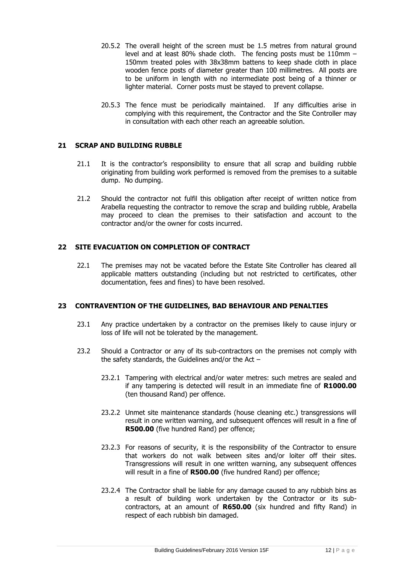- 20.5.2 The overall height of the screen must be 1.5 metres from natural ground level and at least 80% shade cloth. The fencing posts must be 110mm – 150mm treated poles with 38x38mm battens to keep shade cloth in place wooden fence posts of diameter greater than 100 millimetres. All posts are to be uniform in length with no intermediate post being of a thinner or lighter material. Corner posts must be stayed to prevent collapse.
- 20.5.3 The fence must be periodically maintained. If any difficulties arise in complying with this requirement, the Contractor and the Site Controller may in consultation with each other reach an agreeable solution.

#### **21 SCRAP AND BUILDING RUBBLE**

- 21.1 It is the contractor's responsibility to ensure that all scrap and building rubble originating from building work performed is removed from the premises to a suitable dump. No dumping.
- 21.2 Should the contractor not fulfil this obligation after receipt of written notice from Arabella requesting the contractor to remove the scrap and building rubble, Arabella may proceed to clean the premises to their satisfaction and account to the contractor and/or the owner for costs incurred.

# **22 SITE EVACUATION ON COMPLETION OF CONTRACT**

22.1 The premises may not be vacated before the Estate Site Controller has cleared all applicable matters outstanding (including but not restricted to certificates, other documentation, fees and fines) to have been resolved.

#### **23 CONTRAVENTION OF THE GUIDELINES, BAD BEHAVIOUR AND PENALTIES**

- 23.1 Any practice undertaken by a contractor on the premises likely to cause injury or loss of life will not be tolerated by the management.
- 23.2 Should a Contractor or any of its sub-contractors on the premises not comply with the safety standards, the Guidelines and/or the Act  $-$ 
	- 23.2.1 Tampering with electrical and/or water metres: such metres are sealed and if any tampering is detected will result in an immediate fine of **R1000.00** (ten thousand Rand) per offence.
	- 23.2.2 Unmet site maintenance standards (house cleaning etc.) transgressions will result in one written warning, and subsequent offences will result in a fine of **R500.00** (five hundred Rand) per offence;
	- 23.2.3 For reasons of security, it is the responsibility of the Contractor to ensure that workers do not walk between sites and/or loiter off their sites. Transgressions will result in one written warning, any subsequent offences will result in a fine of **R500.00** (five hundred Rand) per offence;
	- 23.2.4 The Contractor shall be liable for any damage caused to any rubbish bins as a result of building work undertaken by the Contractor or its subcontractors, at an amount of **R650.00** (six hundred and fifty Rand) in respect of each rubbish bin damaged.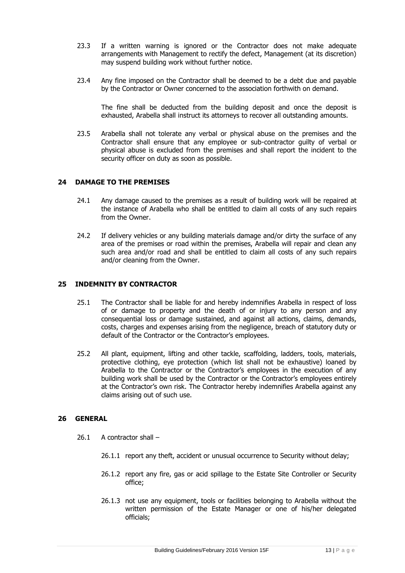- 23.3 If a written warning is ignored or the Contractor does not make adequate arrangements with Management to rectify the defect, Management (at its discretion) may suspend building work without further notice.
- 23.4 Any fine imposed on the Contractor shall be deemed to be a debt due and payable by the Contractor or Owner concerned to the association forthwith on demand.

The fine shall be deducted from the building deposit and once the deposit is exhausted, Arabella shall instruct its attorneys to recover all outstanding amounts.

23.5 Arabella shall not tolerate any verbal or physical abuse on the premises and the Contractor shall ensure that any employee or sub-contractor guilty of verbal or physical abuse is excluded from the premises and shall report the incident to the security officer on duty as soon as possible.

#### **24 DAMAGE TO THE PREMISES**

- 24.1 Any damage caused to the premises as a result of building work will be repaired at the instance of Arabella who shall be entitled to claim all costs of any such repairs from the Owner.
- 24.2 If delivery vehicles or any building materials damage and/or dirty the surface of any area of the premises or road within the premises, Arabella will repair and clean any such area and/or road and shall be entitled to claim all costs of any such repairs and/or cleaning from the Owner.

### **25 INDEMNITY BY CONTRACTOR**

- 25.1 The Contractor shall be liable for and hereby indemnifies Arabella in respect of loss of or damage to property and the death of or injury to any person and any consequential loss or damage sustained, and against all actions, claims, demands, costs, charges and expenses arising from the negligence, breach of statutory duty or default of the Contractor or the Contractor's employees.
- 25.2 All plant, equipment, lifting and other tackle, scaffolding, ladders, tools, materials, protective clothing, eye protection (which list shall not be exhaustive) loaned by Arabella to the Contractor or the Contractor's employees in the execution of any building work shall be used by the Contractor or the Contractor's employees entirely at the Contractor's own risk. The Contractor hereby indemnifies Arabella against any claims arising out of such use.

#### **26 GENERAL**

- 26.1 A contractor shall
	- 26.1.1 report any theft, accident or unusual occurrence to Security without delay;
	- 26.1.2 report any fire, gas or acid spillage to the Estate Site Controller or Security office;
	- 26.1.3 not use any equipment, tools or facilities belonging to Arabella without the written permission of the Estate Manager or one of his/her delegated officials;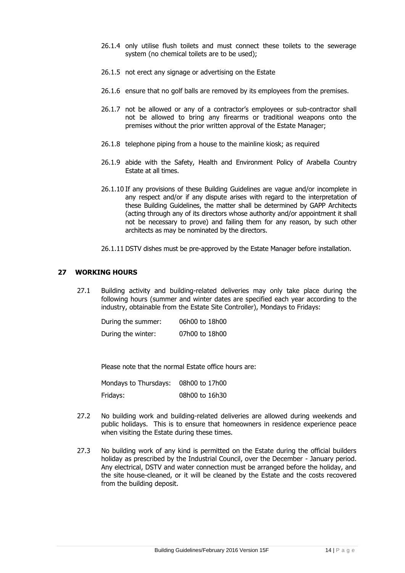- 26.1.4 only utilise flush toilets and must connect these toilets to the sewerage system (no chemical toilets are to be used);
- 26.1.5 not erect any signage or advertising on the Estate
- 26.1.6 ensure that no golf balls are removed by its employees from the premises.
- 26.1.7 not be allowed or any of a contractor's employees or sub-contractor shall not be allowed to bring any firearms or traditional weapons onto the premises without the prior written approval of the Estate Manager;
- 26.1.8 telephone piping from a house to the mainline kiosk; as required
- 26.1.9 abide with the Safety, Health and Environment Policy of Arabella Country Estate at all times.
- 26.1.10 If any provisions of these Building Guidelines are vague and/or incomplete in any respect and/or if any dispute arises with regard to the interpretation of these Building Guidelines, the matter shall be determined by GAPP Architects (acting through any of its directors whose authority and/or appointment it shall not be necessary to prove) and failing them for any reason, by such other architects as may be nominated by the directors.
- 26.1.11 DSTV dishes must be pre-approved by the Estate Manager before installation.

# **27 WORKING HOURS**

27.1 Building activity and building-related deliveries may only take place during the following hours (summer and winter dates are specified each year according to the industry, obtainable from the Estate Site Controller), Mondays to Fridays:

| During the summer: | 06h00 to 18h00 |
|--------------------|----------------|
| During the winter: | 07h00 to 18h00 |

Please note that the normal Estate office hours are:

| Mondays to Thursdays: | 08h00 to 17h00 |
|-----------------------|----------------|
| Fridays:              | 08h00 to 16h30 |

- 27.2 No building work and building-related deliveries are allowed during weekends and public holidays. This is to ensure that homeowners in residence experience peace when visiting the Estate during these times.
- 27.3 No building work of any kind is permitted on the Estate during the official builders holiday as prescribed by the Industrial Council, over the December - January period. Any electrical, DSTV and water connection must be arranged before the holiday, and the site house-cleaned, or it will be cleaned by the Estate and the costs recovered from the building deposit.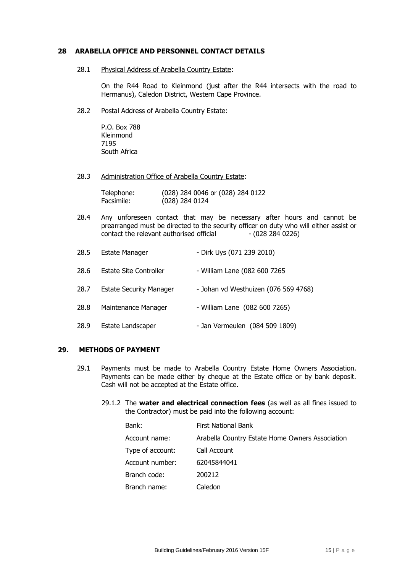# **28 ARABELLA OFFICE AND PERSONNEL CONTACT DETAILS**

28.1 Physical Address of Arabella Country Estate:

On the R44 Road to Kleinmond (just after the R44 intersects with the road to Hermanus), Caledon District, Western Cape Province.

28.2 Postal Address of Arabella Country Estate:

P.O. Box 788 Kleinmond 7195 South Africa

28.3 Administration Office of Arabella Country Estate:

| Telephone: | (028) 284 0046 or (028) 284 0122 |
|------------|----------------------------------|
| Facsimile: | $(028)$ 284 0124                 |

28.4 Any unforeseen contact that may be necessary after hours and cannot be prearranged must be directed to the security officer on duty who will either assist or contact the relevant authorised official - (028 284 0226)

| 28.5 | <b>Estate Manager</b>          | - Dirk Uys (071 239 2010)            |
|------|--------------------------------|--------------------------------------|
| 28.6 | <b>Estate Site Controller</b>  | - William Lane (082 600 7265         |
| 28.7 | <b>Estate Security Manager</b> | - Johan vd Westhuizen (076 569 4768) |
| 28.8 | Maintenance Manager            | - William Lane (082 600 7265)        |
| 28.9 | Estate Landscaper              | - Jan Vermeulen (084 509 1809)       |

#### **29. METHODS OF PAYMENT**

- 29.1 Payments must be made to Arabella Country Estate Home Owners Association. Payments can be made either by cheque at the Estate office or by bank deposit. Cash will not be accepted at the Estate office.
	- 29.1.2 The **water and electrical connection fees** (as well as all fines issued to the Contractor) must be paid into the following account:

| Bank:            | <b>First National Bank</b>                      |
|------------------|-------------------------------------------------|
| Account name:    | Arabella Country Estate Home Owners Association |
| Type of account: | Call Account                                    |
| Account number:  | 62045844041                                     |
| Branch code:     | 200212                                          |
| Branch name:     | Caledon                                         |